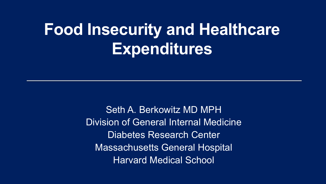# **Food Insecurity and Healthcare Expenditures**

Seth A. Berkowitz MD MPH Division of General Internal Medicine Diabetes Research Center Massachusetts General Hospital Harvard Medical School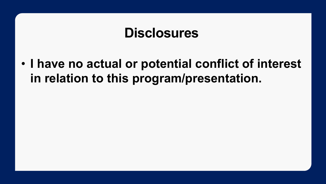#### **Disclosures**

• **I have no actual or potential conflict of interest in relation to this program/presentation.**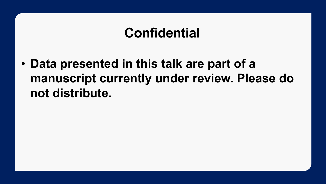#### **Confidential**

• **Data presented in this talk are part of a manuscript currently under review. Please do not distribute.**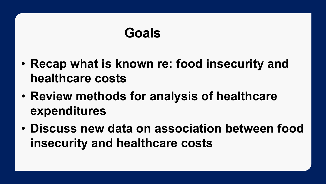#### **Goals**

- **Recap what is known re: food insecurity and healthcare costs**
- **Review methods for analysis of healthcare expenditures**
- **Discuss new data on association between food insecurity and healthcare costs**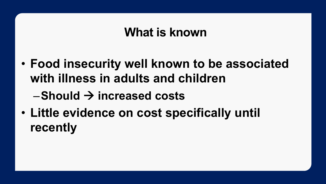#### **What is known**

- **Food insecurity well known to be associated with illness in adults and children**
	- $-$ Should  $\rightarrow$  increased costs
- **Little evidence on cost specifically until recently**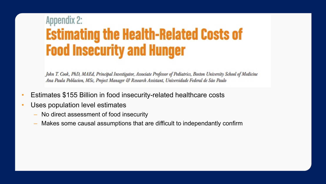#### **Appendix 2: Estimating the Health-Related Costs of Food Insecurity and Hunger**

John T. Cook, PhD, MAEd, Principal Investigator, Associate Professor of Pediatrics, Boston University School of Medicine Ana Paula Poblacion, MSc, Project Manager & Research Assistant, Universidade Federal de São Paulo

- Estimates \$155 Billion in food insecurity-related healthcare costs
- Uses population level estimates
	- No direct assessment of food insecurity
	- Makes some causal assumptions that are difficult to independantly confirm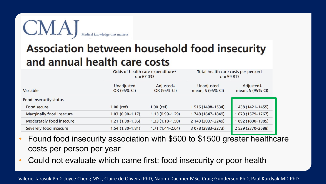

#### **Association between household food insecurity** and annual health care costs

|                          | Odds of health care expenditure*<br>$n = 67033$ |                          | Total health care costs per persont<br>$n = 59817$ |                                |  |  |
|--------------------------|-------------------------------------------------|--------------------------|----------------------------------------------------|--------------------------------|--|--|
| Variable                 | Unadjusted<br>OR (95% CI)                       | Adjusted#<br>OR (95% CI) | Unadjusted<br>mean, \$ (95% CI)                    | Adjusted#<br>mean, \$ (95% CI) |  |  |
| Food insecurity status   |                                                 |                          |                                                    |                                |  |  |
| <b>Food secure</b>       | 1.00 (ref)                                      | $1.00$ (ref)             | 1 516 (1498-1534)                                  | 1 438 (1421-1455)              |  |  |
| Marginally food insecure | $1.03(0.90 - 1.17)$                             | $1.13(0.99 - 1.29)$      | 1 748 (1647-1849)                                  | 673 (1579-1767)                |  |  |
| Moderately food insecure | 1.21 (1.08-1.36)                                | $1.33(1.18-1.50)$        | 2 143 (2037-2249)                                  | 892 (1800-1985)                |  |  |
| Severely food insecure   | $1.54(1.30-1.81)$                               | $1.71(1.44 - 2.04)$      | 3 078 (2883-3273)                                  | 2 529 (2370-2688)              |  |  |
|                          |                                                 |                          |                                                    |                                |  |  |

- Found food insecurity association with \$500 to \$1500 greater healthcare costs per person per year
- Could not evaluate which came first: food insecurity or poor health

Valerie Tarasuk PhD, Joyce Cheng MSc, Claire de Oliveira PhD, Naomi Dachner MSc, Craig Gundersen PhD, Paul Kurdyak MD PhD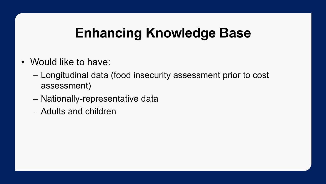### **Enhancing Knowledge Base**

- Would like to have:
	- Longitudinal data (food insecurity assessment prior to cost assessment)
	- Nationally-representative data
	- Adults and children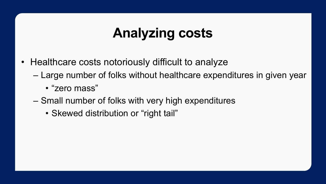- Healthcare costs notoriously difficult to analyze
	- Large number of folks without healthcare expenditures in given year
		- "zero mass"
	- Small number of folks with very high expenditures
		- Skewed distribution or "right tail"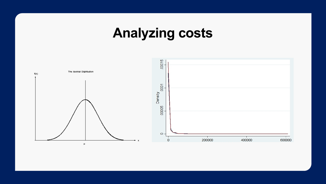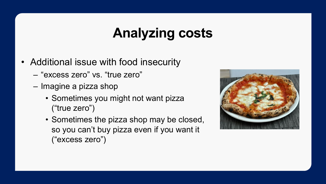- Additional issue with food insecurity
	- "excess zero" vs. "true zero"
	- Imagine a pizza shop
		- Sometimes you might not want pizza ("true zero")
		- Sometimes the pizza shop may be closed, so you can't buy pizza even if you want it ("excess zero")

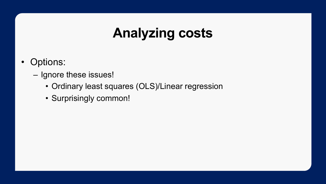- Options:
	- Ignore these issues!
		- Ordinary least squares (OLS)/Linear regression
		- Surprisingly common!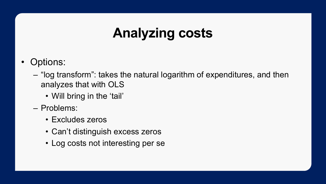- Options:
	- "log transform": takes the natural logarithm of expenditures, and then analyzes that with OLS
		- Will bring in the 'tail'
	- Problems:
		- Excludes zeros
		- Can't distinguish excess zeros
		- Log costs not interesting per se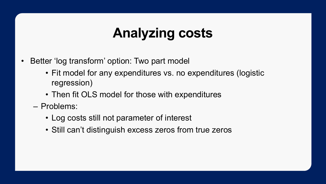- Better 'log transform' option: Two part model
	- Fit model for any expenditures vs. no expenditures (logistic regression)
	- Then fit OLS model for those with expenditures
	- Problems:
		- Log costs still not parameter of interest
		- Still can't distinguish excess zeros from true zeros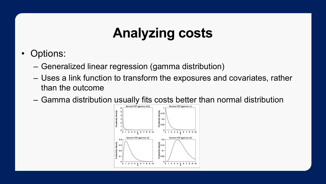- Options:
	- Generalized linear regression (gamma distribution)
	- Uses a link function to transform the exposures and covariates, rather than the outcome
	- Gamma distribution usually fits costs better than normal distribution

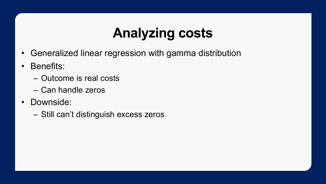- Generalized linear regression with gamma distribution
- Benefits:
	- Outcome is real costs
	- Can handle zeros
- Downside:
	- Still can't distinguish excess zeros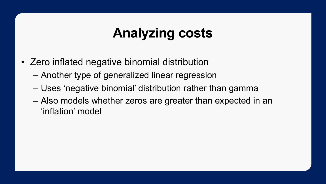- Zero inflated negative binomial distribution
	- Another type of generalized linear regression
	- Uses 'negative binomial' distribution rather than gamma
	- Also models whether zeros are greater than expected in an 'inflation' model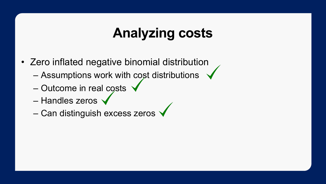- Zero inflated negative binomial distribution
	- Assumptions work with cost distributions
	- Outcome in real costs
	- Handles zeros
	- Can distinguish excess zeros  $\checkmark$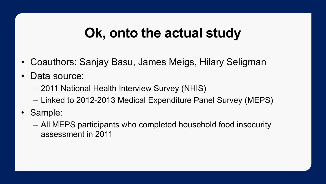#### **Ok, onto the actual study**

- Coauthors: Sanjay Basu, James Meigs, Hilary Seligman
- Data source:
	- 2011 National Health Interview Survey (NHIS)
	- Linked to 2012-2013 Medical Expenditure Panel Survey (MEPS)
- Sample:
	- All MEPS participants who completed household food insecurity assessment in 2011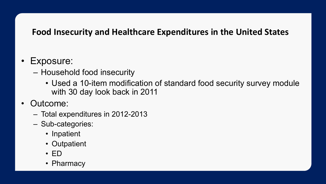#### **Food Insecurity and Healthcare Expenditures in the United States**

#### • Exposure:

- Household food insecurity
	- Used a 10-item modification of standard food security survey module with 30 day look back in 2011
- Outcome:
	- Total expenditures in 2012-2013
	- Sub-categories:
		- Inpatient
		- Outpatient
		- ED
		- Pharmacy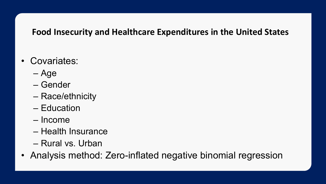#### **Food Insecurity and Healthcare Expenditures in the United States**

- Covariates:
	- Age
	- Gender
	- Race/ethnicity
	- Education
	- Income
	- Health Insurance
	- Rural vs. Urban
- Analysis method: Zero-inflated negative binomial regression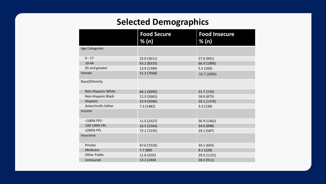#### **Selected Demographics**

|                        | <b>Food Secure</b><br>% (n) | <b>Food Insecure</b><br>% (n) |
|------------------------|-----------------------------|-------------------------------|
| <b>Age Categories</b>  |                             |                               |
| $0 - 17$               | 22.9 (3611)                 | 27.6 (991)                    |
| 18-64                  | 63.2 (8335)                 | 66.9 (1896)                   |
| 65 and greater         | 13.9 (1390)                 | 5.5(160)                      |
| Female                 | 51.3 (7068)                 | 52.7 (1695)                   |
| Race/Ethnicity         |                             |                               |
| Non-Hispanic White     | 66.1 (5095)                 | 51.7 (719)                    |
| Non-Hispanic Black     | 11.3 (2665)                 | 18.9 (875)                    |
| Hispanic               | 15.4 (4286)                 | 26.1 (1374)                   |
| Asian/multi-/other     | 7.3 (1482)                  | 3.3(130)                      |
| Income                 |                             |                               |
| <100% FPL <sup>a</sup> | 11.5 (2327)                 | 36.9 (1362)                   |
| 100-199% FPL           | 16.5 (2564)                 | 34.0 (898)                    |
| ≥200% FPL              | 72.1 (7235)                 | 29.1 (587)                    |
| Insurance              |                             |                               |
| Private                | 67.6 (7226)                 | 34.1 (692)                    |
| Medicare               | 7.7 (880)                   | 8.1(228)                      |
| <b>Other Public</b>    | 11.6 (2592                  | 29.5 (1131)                   |
| Uninsured              | 13.2 (2404                  | 28.3 (911)                    |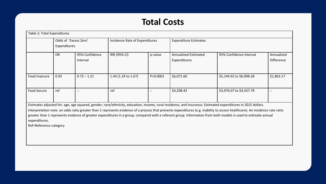#### **Total Costs**

| Table 2: Total Expenditures |                                       |                            |                                |          |                                             |                          |                                 |  |  |
|-----------------------------|---------------------------------------|----------------------------|--------------------------------|----------|---------------------------------------------|--------------------------|---------------------------------|--|--|
|                             | Odds of 'Excess Zero'<br>Expenditures |                            | Incidence Rate of Expenditures |          | <b>Expenditure Estimates</b>                |                          |                                 |  |  |
|                             | <b>OR</b>                             | 95% Confidence<br>Interval | IRR (95% CI)                   | p-value  | <b>Annualized Estimated</b><br>Expenditures | 95% Confidence Interval  | Annualized<br><b>Difference</b> |  |  |
| Food Insecure               | 0.93                                  | $0.72 - 1.21$              | 1.44 (1.24 to 1.67)            | P<0.0001 | \$6,071.60                                  | \$5,144.92 to \$6,998.28 | \$1,863.17                      |  |  |
| Food Secure                 | ref                                   | $\qquad \qquad -$          | ref                            | --       | \$4,208.43                                  | \$3,976.07 to \$4,437.79 | $- -$                           |  |  |

Estimates adjusted for: age, age squared, gender, race/ethnicity, education, income, rural residence, and insurance. Estimated expenditures in 2015 dollars.

Interpretation note: an odds ratio greater than 1 represents evidence of a process that prevents expenditures (e.g. inability to access healthcare). An incidence rate ratio greater than 1 represents evidence of greater expenditures in a group, compared with a referent group. Information from both models is used to estimate annual expenditures.

Ref=Reference category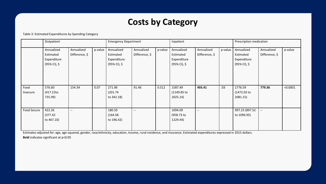#### **Costs by Category**

#### Table 3: Estimated Expenditures by Spending Category

|                    | Outpatient                                             |                              |         | <b>Emergency Department</b>                            |                              | Inpatient |                                                        |                              | Prescription medication |                                                        |                              |          |
|--------------------|--------------------------------------------------------|------------------------------|---------|--------------------------------------------------------|------------------------------|-----------|--------------------------------------------------------|------------------------------|-------------------------|--------------------------------------------------------|------------------------------|----------|
|                    | Annualized<br>Estimated<br>Expenditure<br>(95% CI), \$ | Annualized<br>Difference, \$ | p-value | Annualized<br>Estimated<br>Expenditure<br>(95% CI), \$ | Annualized<br>Difference, \$ | p-value   | Annualized<br>Estimated<br>Expenditure<br>(95% CI), \$ | Annualized<br>Difference, \$ | p-value                 | Annualized<br>Estimated<br>Expenditure<br>(95% CI), \$ | Annualized<br>Difference, \$ | p-value  |
| Food<br>Insecure   | 576.60<br>(417.22to<br>735.99)                         | 154.34                       | 0.07    | 271.96<br>(201.74)<br>to 342.18)                       | 91.46                        | 0.512     | 1587.49<br>(1149.85 to<br>2025.14)                     | 493.41                       | .03                     | 1776.59<br>(1472.03 to<br>2081.15)                     | 779.36                       | < 0.0001 |
| <b>Food Secure</b> | 422.26<br>(377.42)<br>to 467.10)                       | $\overline{\phantom{a}}$     |         | 180.50<br>(164.58)<br>to 196.42)                       | $\overline{\phantom{a}}$     |           | 1094.09<br>(958.73 to<br>1229.44)                      | $\overline{\phantom{a}}$     |                         | 997.23 (897.52<br>to 1096.95)                          | $\overline{\phantom{a}}$     |          |

Estimates adjusted for: age, age squared, gender, race/ethnicity, education, income, rural residence, and insurance. Estimated expenditures expressed in 2015 dollars.

**Bold** indicates significant at p<0.05